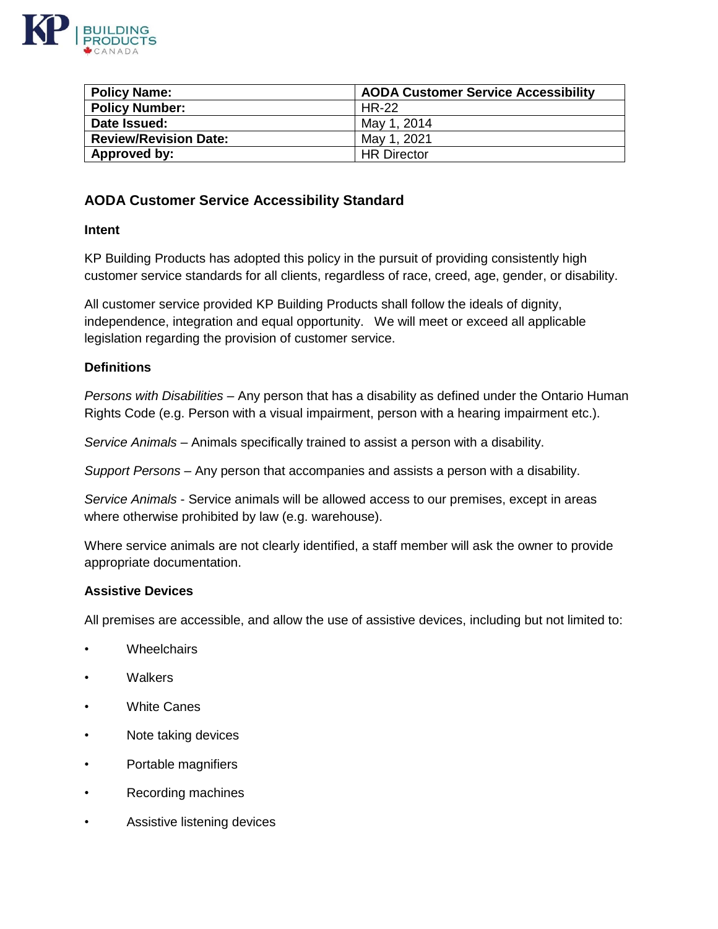

| <b>Policy Name:</b>          | <b>AODA Customer Service Accessibility</b> |
|------------------------------|--------------------------------------------|
| <b>Policy Number:</b>        | HR-22                                      |
| Date Issued:                 | May 1, 2014                                |
| <b>Review/Revision Date:</b> | May 1, 2021                                |
| Approved by:                 | <b>HR Director</b>                         |

# **AODA Customer Service Accessibility Standard**

### **Intent**

KP Building Products has adopted this policy in the pursuit of providing consistently high customer service standards for all clients, regardless of race, creed, age, gender, or disability.

All customer service provided KP Building Products shall follow the ideals of dignity, independence, integration and equal opportunity. We will meet or exceed all applicable legislation regarding the provision of customer service.

### **Definitions**

*Persons with Disabilities* – Any person that has a disability as defined under the Ontario Human Rights Code (e.g. Person with a visual impairment, person with a hearing impairment etc.).

*Service Animals* – Animals specifically trained to assist a person with a disability.

*Support Persons* – Any person that accompanies and assists a person with a disability.

*Service Animals* - Service animals will be allowed access to our premises, except in areas where otherwise prohibited by law (e.g. warehouse).

Where service animals are not clearly identified, a staff member will ask the owner to provide appropriate documentation.

### **Assistive Devices**

All premises are accessible, and allow the use of assistive devices, including but not limited to:

- Wheelchairs
- Walkers
- White Canes
- Note taking devices
- Portable magnifiers
- Recording machines
- Assistive listening devices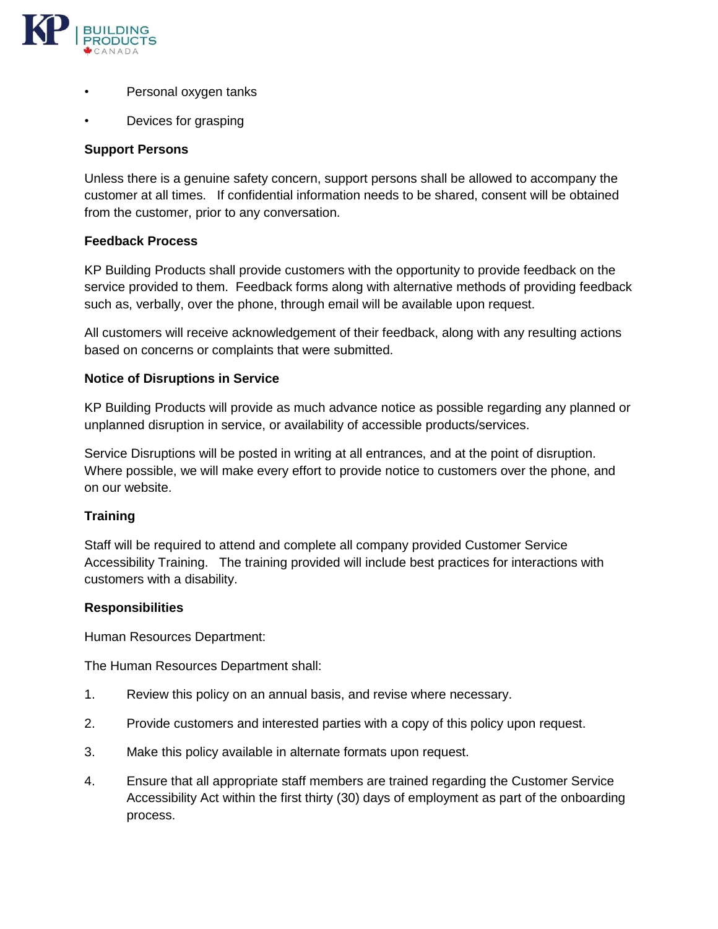

- Personal oxygen tanks
- Devices for grasping

## **Support Persons**

Unless there is a genuine safety concern, support persons shall be allowed to accompany the customer at all times. If confidential information needs to be shared, consent will be obtained from the customer, prior to any conversation.

### **Feedback Process**

KP Building Products shall provide customers with the opportunity to provide feedback on the service provided to them. Feedback forms along with alternative methods of providing feedback such as, verbally, over the phone, through email will be available upon request.

All customers will receive acknowledgement of their feedback, along with any resulting actions based on concerns or complaints that were submitted.

### **Notice of Disruptions in Service**

KP Building Products will provide as much advance notice as possible regarding any planned or unplanned disruption in service, or availability of accessible products/services.

Service Disruptions will be posted in writing at all entrances, and at the point of disruption. Where possible, we will make every effort to provide notice to customers over the phone, and on our website.

### **Training**

Staff will be required to attend and complete all company provided Customer Service Accessibility Training. The training provided will include best practices for interactions with customers with a disability.

### **Responsibilities**

Human Resources Department:

The Human Resources Department shall:

- 1. Review this policy on an annual basis, and revise where necessary.
- 2. Provide customers and interested parties with a copy of this policy upon request.
- 3. Make this policy available in alternate formats upon request.
- 4. Ensure that all appropriate staff members are trained regarding the Customer Service Accessibility Act within the first thirty (30) days of employment as part of the onboarding process.